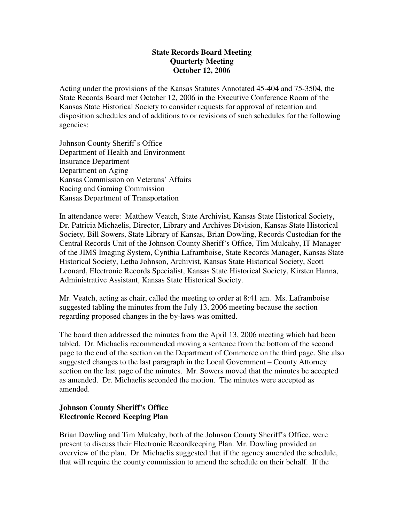# **State Records Board Meeting Quarterly Meeting October 12, 2006**

Acting under the provisions of the Kansas Statutes Annotated 45-404 and 75-3504, the State Records Board met October 12, 2006 in the Executive Conference Room of the Kansas State Historical Society to consider requests for approval of retention and disposition schedules and of additions to or revisions of such schedules for the following agencies:

Johnson County Sheriff's Office Department of Health and Environment Insurance Department Department on Aging Kansas Commission on Veterans' Affairs Racing and Gaming Commission Kansas Department of Transportation

In attendance were: Matthew Veatch, State Archivist, Kansas State Historical Society, Dr. Patricia Michaelis, Director, Library and Archives Division, Kansas State Historical Society, Bill Sowers, State Library of Kansas, Brian Dowling, Records Custodian for the Central Records Unit of the Johnson County Sheriff's Office, Tim Mulcahy, IT Manager of the JIMS Imaging System, Cynthia Laframboise, State Records Manager, Kansas State Historical Society, Letha Johnson, Archivist, Kansas State Historical Society, Scott Leonard, Electronic Records Specialist, Kansas State Historical Society, Kirsten Hanna, Administrative Assistant, Kansas State Historical Society.

Mr. Veatch, acting as chair, called the meeting to order at 8:41 am. Ms. Laframboise suggested tabling the minutes from the July 13, 2006 meeting because the section regarding proposed changes in the by-laws was omitted.

The board then addressed the minutes from the April 13, 2006 meeting which had been tabled. Dr. Michaelis recommended moving a sentence from the bottom of the second page to the end of the section on the Department of Commerce on the third page. She also suggested changes to the last paragraph in the Local Government – County Attorney section on the last page of the minutes. Mr. Sowers moved that the minutes be accepted as amended. Dr. Michaelis seconded the motion. The minutes were accepted as amended.

# **Johnson County Sheriff's Office Electronic Record Keeping Plan**

Brian Dowling and Tim Mulcahy, both of the Johnson County Sheriff's Office, were present to discuss their Electronic Recordkeeping Plan. Mr. Dowling provided an overview of the plan. Dr. Michaelis suggested that if the agency amended the schedule, that will require the county commission to amend the schedule on their behalf. If the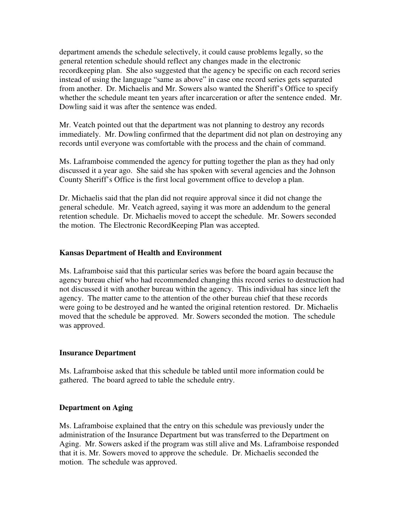department amends the schedule selectively, it could cause problems legally, so the general retention schedule should reflect any changes made in the electronic recordkeeping plan. She also suggested that the agency be specific on each record series instead of using the language "same as above" in case one record series gets separated from another. Dr. Michaelis and Mr. Sowers also wanted the Sheriff's Office to specify whether the schedule meant ten years after incarceration or after the sentence ended. Mr. Dowling said it was after the sentence was ended.

Mr. Veatch pointed out that the department was not planning to destroy any records immediately. Mr. Dowling confirmed that the department did not plan on destroying any records until everyone was comfortable with the process and the chain of command.

Ms. Laframboise commended the agency for putting together the plan as they had only discussed it a year ago. She said she has spoken with several agencies and the Johnson County Sheriff's Office is the first local government office to develop a plan.

Dr. Michaelis said that the plan did not require approval since it did not change the general schedule. Mr. Veatch agreed, saying it was more an addendum to the general retention schedule. Dr. Michaelis moved to accept the schedule. Mr. Sowers seconded the motion. The Electronic RecordKeeping Plan was accepted.

# **Kansas Department of Health and Environment**

Ms. Laframboise said that this particular series was before the board again because the agency bureau chief who had recommended changing this record series to destruction had not discussed it with another bureau within the agency. This individual has since left the agency. The matter came to the attention of the other bureau chief that these records were going to be destroyed and he wanted the original retention restored. Dr. Michaelis moved that the schedule be approved. Mr. Sowers seconded the motion. The schedule was approved.

## **Insurance Department**

Ms. Laframboise asked that this schedule be tabled until more information could be gathered. The board agreed to table the schedule entry.

# **Department on Aging**

Ms. Laframboise explained that the entry on this schedule was previously under the administration of the Insurance Department but was transferred to the Department on Aging. Mr. Sowers asked if the program was still alive and Ms. Laframboise responded that it is. Mr. Sowers moved to approve the schedule. Dr. Michaelis seconded the motion. The schedule was approved.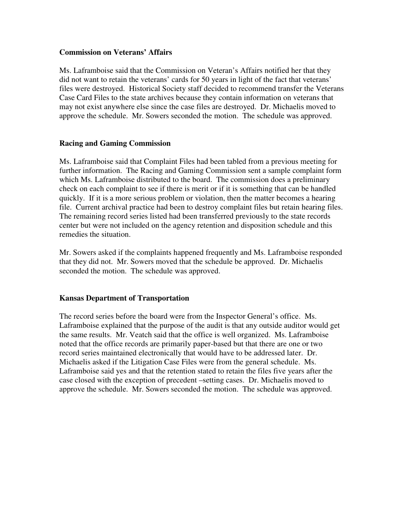#### **Commission on Veterans' Affairs**

Ms. Laframboise said that the Commission on Veteran's Affairs notified her that they did not want to retain the veterans' cards for 50 years in light of the fact that veterans' files were destroyed. Historical Society staff decided to recommend transfer the Veterans Case Card Files to the state archives because they contain information on veterans that may not exist anywhere else since the case files are destroyed. Dr. Michaelis moved to approve the schedule. Mr. Sowers seconded the motion. The schedule was approved.

## **Racing and Gaming Commission**

Ms. Laframboise said that Complaint Files had been tabled from a previous meeting for further information. The Racing and Gaming Commission sent a sample complaint form which Ms. Laframboise distributed to the board. The commission does a preliminary check on each complaint to see if there is merit or if it is something that can be handled quickly. If it is a more serious problem or violation, then the matter becomes a hearing file. Current archival practice had been to destroy complaint files but retain hearing files. The remaining record series listed had been transferred previously to the state records center but were not included on the agency retention and disposition schedule and this remedies the situation.

Mr. Sowers asked if the complaints happened frequently and Ms. Laframboise responded that they did not. Mr. Sowers moved that the schedule be approved. Dr. Michaelis seconded the motion. The schedule was approved.

## **Kansas Department of Transportation**

The record series before the board were from the Inspector General's office. Ms. Laframboise explained that the purpose of the audit is that any outside auditor would get the same results. Mr. Veatch said that the office is well organized. Ms. Laframboise noted that the office records are primarily paper-based but that there are one or two record series maintained electronically that would have to be addressed later. Dr. Michaelis asked if the Litigation Case Files were from the general schedule. Ms. Laframboise said yes and that the retention stated to retain the files five years after the case closed with the exception of precedent –setting cases. Dr. Michaelis moved to approve the schedule. Mr. Sowers seconded the motion. The schedule was approved.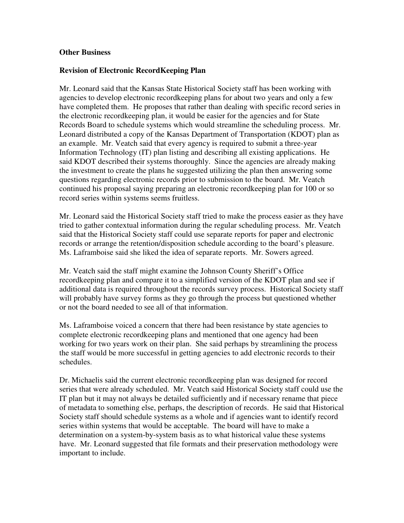## **Other Business**

# **Revision of Electronic RecordKeeping Plan**

Mr. Leonard said that the Kansas State Historical Society staff has been working with agencies to develop electronic recordkeeping plans for about two years and only a few have completed them. He proposes that rather than dealing with specific record series in the electronic recordkeeping plan, it would be easier for the agencies and for State Records Board to schedule systems which would streamline the scheduling process. Mr. Leonard distributed a copy of the Kansas Department of Transportation (KDOT) plan as an example. Mr. Veatch said that every agency is required to submit a three-year Information Technology (IT) plan listing and describing all existing applications. He said KDOT described their systems thoroughly. Since the agencies are already making the investment to create the plans he suggested utilizing the plan then answering some questions regarding electronic records prior to submission to the board. Mr. Veatch continued his proposal saying preparing an electronic recordkeeping plan for 100 or so record series within systems seems fruitless.

Mr. Leonard said the Historical Society staff tried to make the process easier as they have tried to gather contextual information during the regular scheduling process. Mr. Veatch said that the Historical Society staff could use separate reports for paper and electronic records or arrange the retention/disposition schedule according to the board's pleasure. Ms. Laframboise said she liked the idea of separate reports. Mr. Sowers agreed.

Mr. Veatch said the staff might examine the Johnson County Sheriff's Office recordkeeping plan and compare it to a simplified version of the KDOT plan and see if additional data is required throughout the records survey process. Historical Society staff will probably have survey forms as they go through the process but questioned whether or not the board needed to see all of that information.

Ms. Laframboise voiced a concern that there had been resistance by state agencies to complete electronic recordkeeping plans and mentioned that one agency had been working for two years work on their plan. She said perhaps by streamlining the process the staff would be more successful in getting agencies to add electronic records to their schedules.

Dr. Michaelis said the current electronic recordkeeping plan was designed for record series that were already scheduled. Mr. Veatch said Historical Society staff could use the IT plan but it may not always be detailed sufficiently and if necessary rename that piece of metadata to something else, perhaps, the description of records. He said that Historical Society staff should schedule systems as a whole and if agencies want to identify record series within systems that would be acceptable. The board will have to make a determination on a system-by-system basis as to what historical value these systems have. Mr. Leonard suggested that file formats and their preservation methodology were important to include.